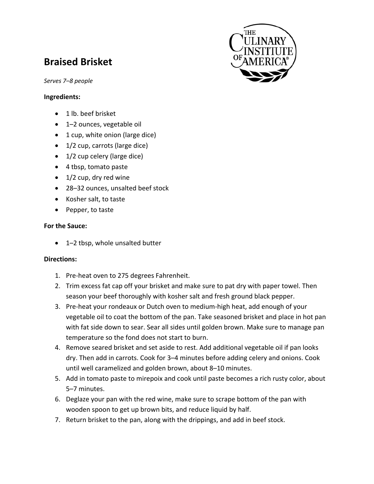# **Braised Brisket**

*Serves 7–8 people*

#### **Ingredients:**

- 1 lb. beef brisket
- 1–2 ounces, vegetable oil
- 1 cup, white onion (large dice)
- 1/2 cup, carrots (large dice)
- 1/2 cup celery (large dice)
- 4 tbsp, tomato paste
- 1/2 cup, dry red wine
- 28–32 ounces, unsalted beef stock
- Kosher salt, to taste
- Pepper, to taste

#### **For the Sauce:**

• 1–2 tbsp, whole unsalted butter

### **Directions:**

- 1. Pre-heat oven to 275 degrees Fahrenheit.
- 2. Trim excess fat cap off your brisket and make sure to pat dry with paper towel. Then season your beef thoroughly with kosher salt and fresh ground black pepper.
- 3. Pre‐heat your rondeaux or Dutch oven to medium‐high heat, add enough of your vegetable oil to coat the bottom of the pan. Take seasoned brisket and place in hot pan with fat side down to sear. Sear all sides until golden brown. Make sure to manage pan temperature so the fond does not start to burn.
- 4. Remove seared brisket and set aside to rest. Add additional vegetable oil if pan looks dry. Then add in carrots. Cook for 3–4 minutes before adding celery and onions. Cook until well caramelized and golden brown, about 8–10 minutes.
- 5. Add in tomato paste to mirepoix and cook until paste becomes a rich rusty color, about 5–7 minutes.
- 6. Deglaze your pan with the red wine, make sure to scrape bottom of the pan with wooden spoon to get up brown bits, and reduce liquid by half.
- 7. Return brisket to the pan, along with the drippings, and add in beef stock.